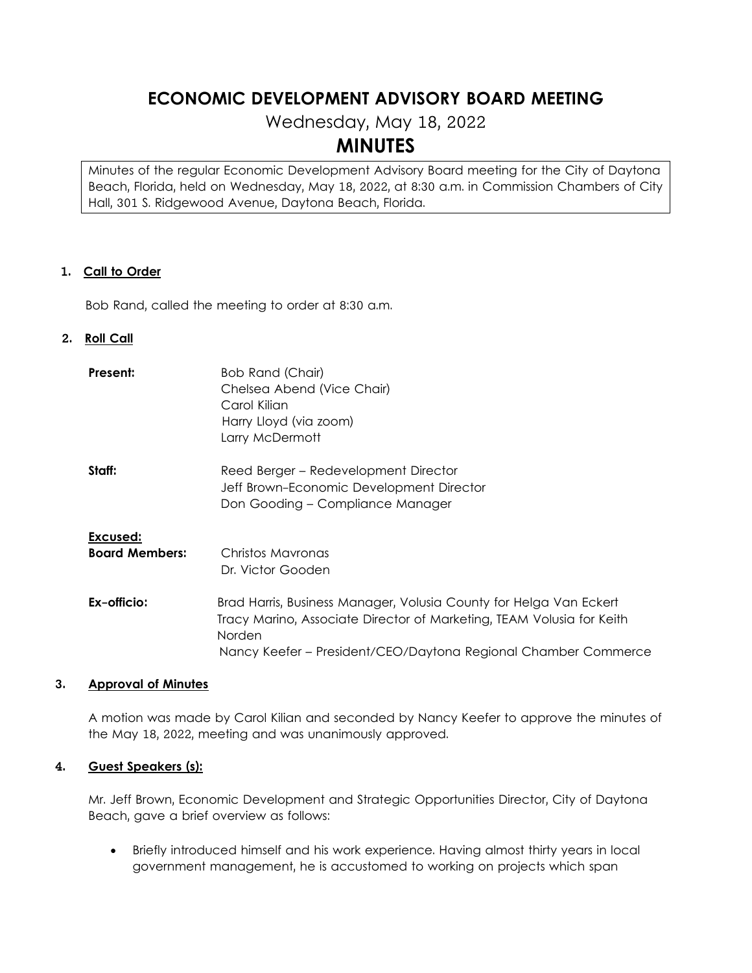# **ECONOMIC DEVELOPMENT ADVISORY BOARD MEETING**

Wednesday, May 18, 2022

# **MINUTES**

Minutes of the regular Economic Development Advisory Board meeting for the City of Daytona Beach, Florida, held on Wednesday, May 18, 2022, at 8:30 a.m. in Commission Chambers of City Hall, 301 S. Ridgewood Avenue, Daytona Beach, Florida.

#### **1. Call to Order**

Bob Rand, called the meeting to order at 8:30 a.m.

#### **2. Roll Call**

| Present:                          | Bob Rand (Chair)<br>Chelsea Abend (Vice Chair)<br>Carol Kilian<br>Harry Lloyd (via zoom)<br>Larry McDermott                                                                |
|-----------------------------------|----------------------------------------------------------------------------------------------------------------------------------------------------------------------------|
| Staff:                            | Reed Berger – Redevelopment Director<br>Jeff Brown-Economic Development Director<br>Don Gooding – Compliance Manager                                                       |
| Excused:<br><b>Board Members:</b> | Christos Mavronas                                                                                                                                                          |
| Ex-officio:                       | Dr. Victor Gooden<br>Brad Harris, Business Manager, Volusia County for Helga Van Eckert<br>Tracy Marino, Associate Director of Marketing, TEAM Volusia for Keith<br>Norden |
|                                   | Nancy Keefer - President/CEO/Daytona Regional Chamber Commerce                                                                                                             |

#### **3. Approval of Minutes**

A motion was made by Carol Kilian and seconded by Nancy Keefer to approve the minutes of the May 18, 2022, meeting and was unanimously approved.

#### **4. Guest Speakers (s):**

Mr. Jeff Brown, Economic Development and Strategic Opportunities Director, City of Daytona Beach, gave a brief overview as follows:

• Briefly introduced himself and his work experience. Having almost thirty years in local government management, he is accustomed to working on projects which span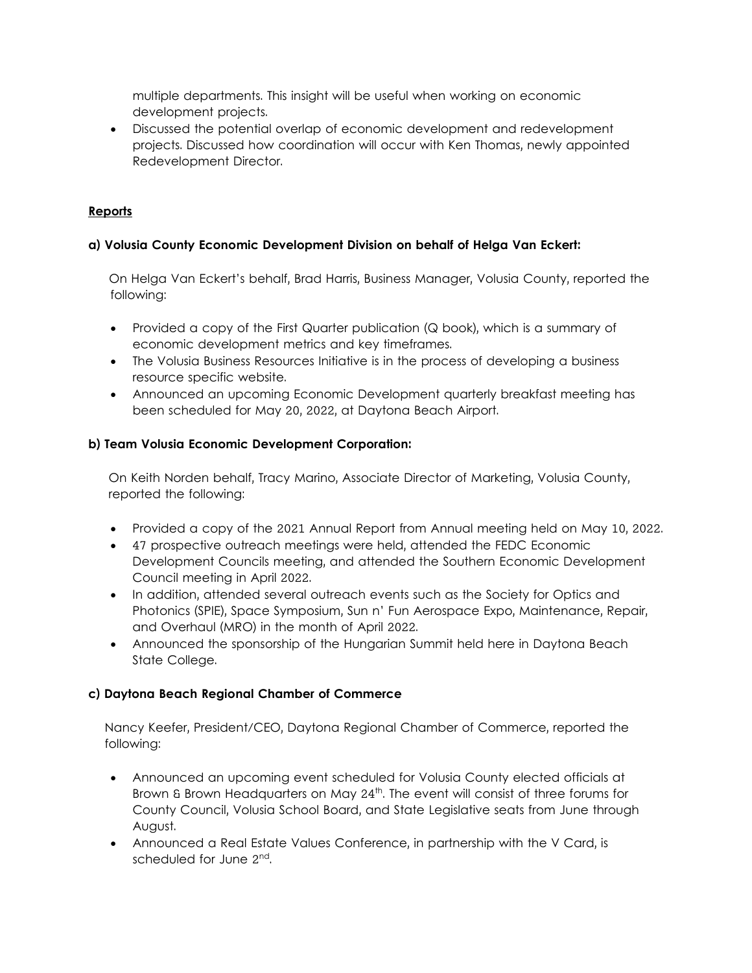multiple departments. This insight will be useful when working on economic development projects.

• Discussed the potential overlap of economic development and redevelopment projects. Discussed how coordination will occur with Ken Thomas, newly appointed Redevelopment Director.

## **Reports**

## **a) Volusia County Economic Development Division on behalf of Helga Van Eckert:**

 On Helga Van Eckert's behalf, Brad Harris, Business Manager, Volusia County, reported the following:

- Provided a copy of the First Quarter publication (Q book), which is a summary of economic development metrics and key timeframes.
- The Volusia Business Resources Initiative is in the process of developing a business resource specific website.
- Announced an upcoming Economic Development quarterly breakfast meeting has been scheduled for May 20, 2022, at Daytona Beach Airport.

## **b) Team Volusia Economic Development Corporation:**

On Keith Norden behalf, Tracy Marino, Associate Director of Marketing, Volusia County, reported the following:

- Provided a copy of the 2021 Annual Report from Annual meeting held on May 10, 2022.
- 47 prospective outreach meetings were held, attended the FEDC Economic Development Councils meeting, and attended the Southern Economic Development Council meeting in April 2022.
- In addition, attended several outreach events such as the Society for Optics and Photonics (SPIE), Space Symposium, Sun n' Fun Aerospace Expo, Maintenance, Repair, and Overhaul (MRO) in the month of April 2022.
- Announced the sponsorship of the Hungarian Summit held here in Daytona Beach State College.

## **c) Daytona Beach Regional Chamber of Commerce**

Nancy Keefer, President/CEO, Daytona Regional Chamber of Commerce, reported the following:

- Announced an upcoming event scheduled for Volusia County elected officials at Brown & Brown Headquarters on May 24<sup>th</sup>. The event will consist of three forums for County Council, Volusia School Board, and State Legislative seats from June through August.
- Announced a Real Estate Values Conference, in partnership with the V Card, is scheduled for June 2<sup>nd</sup>.